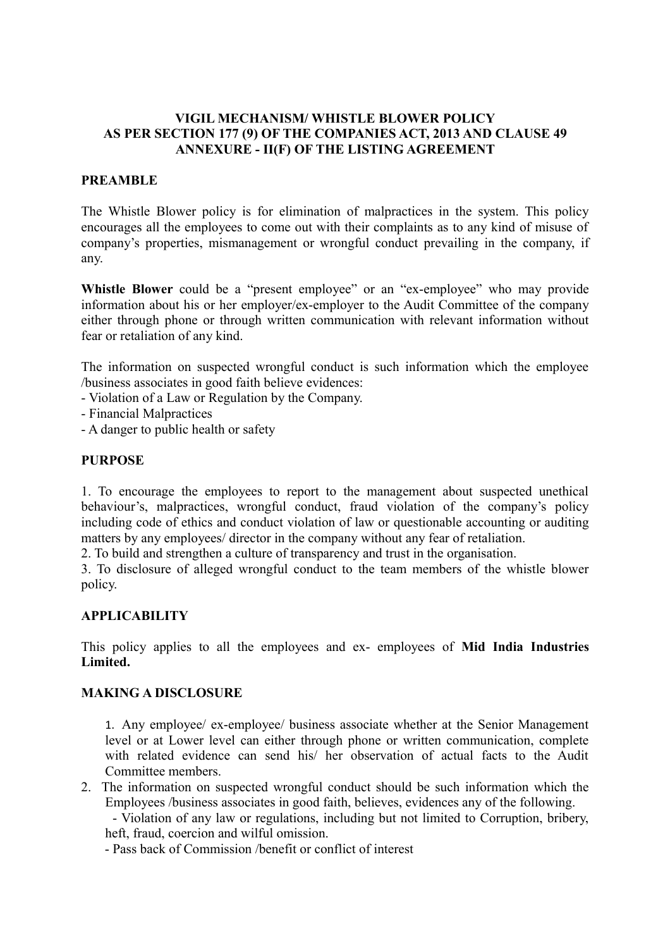#### **VIGIL MECHANISM/ WHISTLE BLOWER POLICY AS PER SECTION 177 (9) OF THE COMPANIES ACT, 2013 AND CLAUSE 49 ANNEXURE - II(F) OF THE LISTING AGREEMENT**

# **PREAMBLE**

The Whistle Blower policy is for elimination of malpractices in the system. This policy encourages all the employees to come out with their complaints as to any kind of misuse of company's properties, mismanagement or wrongful conduct prevailing in the company, if any.

Whistle Blower could be a "present employee" or an "ex-employee" who may provide information about his or her employer/ex-employer to the Audit Committee of the company either through phone or through written communication with relevant information without fear or retaliation of any kind.

The information on suspected wrongful conduct is such information which the employee /business associates in good faith believe evidences:

- Violation of a Law or Regulation by the Company.
- Financial Malpractices
- A danger to public health or safety

#### **PURPOSE**

1. To encourage the employees to report to the management about suspected unethical behaviour's, malpractices, wrongful conduct, fraud violation of the company's policy including code of ethics and conduct violation of law or questionable accounting or auditing matters by any employees/ director in the company without any fear of retaliation.

2. To build and strengthen a culture of transparency and trust in the organisation.

3. To disclosure of alleged wrongful conduct to the team members of the whistle blower policy.

## **APPLICABILITY**

This policy applies to all the employees and ex- employees of **Mid India Industries Limited.**

## **MAKING A DISCLOSURE**

1. Any employee/ ex-employee/ business associate whether at the Senior Management level or at Lower level can either through phone or written communication, complete with related evidence can send his/ her observation of actual facts to the Audit Committee members.

2. The information on suspected wrongful conduct should be such information which the Employees /business associates in good faith, believes, evidences any of the following.

 - Violation of any law or regulations, including but not limited to Corruption, bribery, heft, fraud, coercion and wilful omission.

- Pass back of Commission /benefit or conflict of interest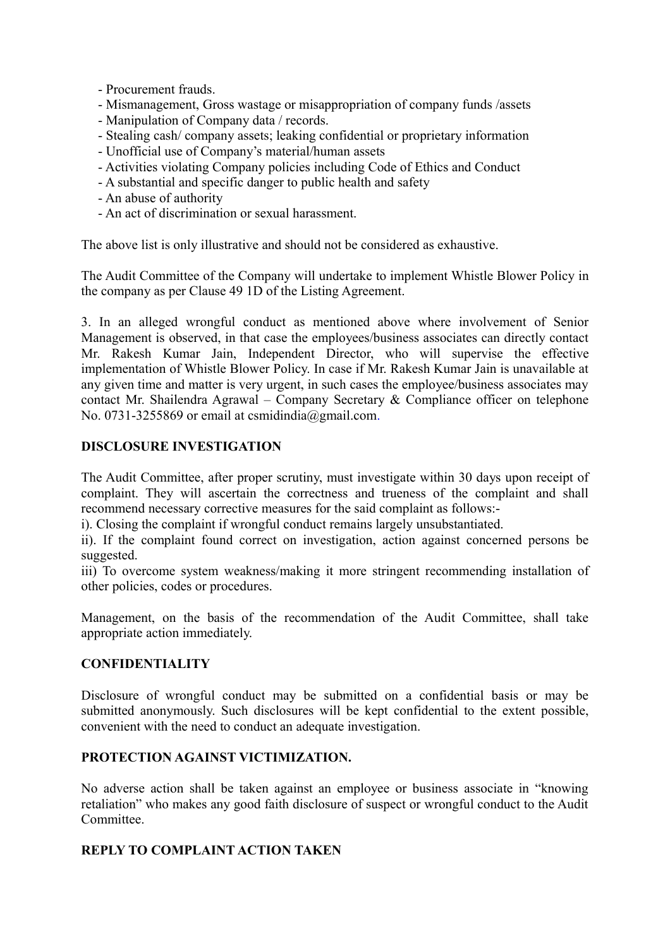- Procurement frauds.
- Mismanagement, Gross wastage or misappropriation of company funds /assets
- Manipulation of Company data / records.
- Stealing cash/ company assets; leaking confidential or proprietary information
- Unofficial use of Company's material/human assets
- Activities violating Company policies including Code of Ethics and Conduct
- A substantial and specific danger to public health and safety
- An abuse of authority
- An act of discrimination or sexual harassment.

The above list is only illustrative and should not be considered as exhaustive.

The Audit Committee of the Company will undertake to implement Whistle Blower Policy in the company as per Clause 49 1D of the Listing Agreement.

3. In an alleged wrongful conduct as mentioned above where involvement of Senior Management is observed, in that case the employees/business associates can directly contact Mr. Rakesh Kumar Jain, Independent Director, who will supervise the effective implementation of Whistle Blower Policy. In case if Mr. Rakesh Kumar Jain is unavailable at any given time and matter is very urgent, in such cases the employee/business associates may contact Mr. Shailendra Agrawal – Company Secretary & Compliance officer on telephone No. 0731-3255869 or email at csmidindia@gmail.com.

#### **DISCLOSURE INVESTIGATION**

The Audit Committee, after proper scrutiny, must investigate within 30 days upon receipt of complaint. They will ascertain the correctness and trueness of the complaint and shall recommend necessary corrective measures for the said complaint as follows:-

i). Closing the complaint if wrongful conduct remains largely unsubstantiated.

ii). If the complaint found correct on investigation, action against concerned persons be suggested.

iii) To overcome system weakness/making it more stringent recommending installation of other policies, codes or procedures.

Management, on the basis of the recommendation of the Audit Committee, shall take appropriate action immediately.

## **CONFIDENTIALITY**

Disclosure of wrongful conduct may be submitted on a confidential basis or may be submitted anonymously. Such disclosures will be kept confidential to the extent possible, convenient with the need to conduct an adequate investigation.

## **PROTECTION AGAINST VICTIMIZATION.**

No adverse action shall be taken against an employee or business associate in "knowing retaliation" who makes any good faith disclosure of suspect or wrongful conduct to the Audit **Committee** 

## **REPLY TO COMPLAINT ACTION TAKEN**